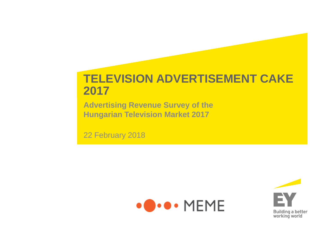#### **TELEVISION ADVERTISEMENT CAKE 2017**

**Advertising Revenue Survey of the Hungarian Television Market 2017**

22 February 2018

ing the control of the control of the control of the control of the control of the control of the control of the control of the control of the control of the control of the control of the control of the control of the cont



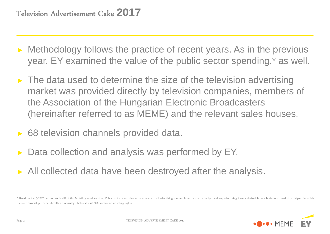- ► Methodology follows the practice of recent years. As in the previous year, EY examined the value of the public sector spending,\* as well.
- $\blacktriangleright$  The data used to determine the size of the television advertising market was provided directly by television companies, members of the Association of the Hungarian Electronic Broadcasters (hereinafter referred to as MEME) and the relevant sales houses.
- ► 68 television channels provided data.
- Data collection and analysis was performed by EY.
- ► All collected data have been destroyed after the analysis.

<sup>\*</sup> Based on the 5/2017 decision (6 April) of the MEME general meeting: Public sector advertising revenue refers to all advertising revenue from the central budget and any advertising income derived from a business or market the state ownership - either directly or indirectly - holds at least 50% ownership or voting rights.

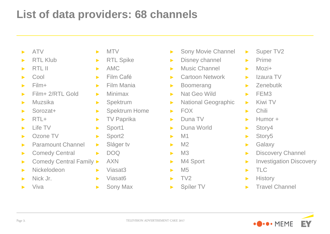### **List of data providers: 68 channels**

- ► ATV
- ► RTL Klub
- $\blacktriangleright$  RTL II
- ► Cool
- ► Film+
- ► Film+ 2/RTL Gold
- ► Muzsika
- ► Sorozat+
- $\blacktriangleright$  RTL+
- ► Life TV
- ► Ozone TV
- ► Paramount Channel
- ► Comedy Central
- ► Comedy Central Family ►
- ► Nickelodeon
- ► Nick Jr.
- ► Viva
- ► MTV
- ► RTL Spike
- ► AMC
- ► Film Café
- ► Film Mania
- ► Minimax
- ► Spektrum
- ► Spektrum Home
- ► TV Paprika
- ► Sport1
- ► Sport2
- ► Sláger tv
- $\blacktriangleright$  DOQ
- ► AXN
	- ► Viasat3
	- ► Viasat6
	- ► Sony Max
- ► Sony Movie Channel
- ► Disney channel
- ► Music Channel
- ► Cartoon Network
- ► Boomerang
- ► Nat Geo Wild
- ► National Geographic
- $\blacktriangleright$  FOX
- ► Duna TV
- ► Duna World
- $\blacktriangleright$  M1
- $\blacktriangleright$  M2
- $ightharpoonup$  M3
- ► M4 Sport
- $\blacktriangleright$  M<sub>5</sub>
- $\blacktriangleright$  TV2
- ► Spíler TV
- ► Super TV2
- ► Prime
- $\nightharpoonup$  Mozi+
- ► Izaura TV
- ► Zenebutik
- $\blacktriangleright$  FEM3
- ► Kiwi TV
- $\blacktriangleright$  Chili
- $\blacktriangleright$  Humor +
- ► Story4
- ► Story5
- ► Galaxy
- ► Discovery Channel
- ► Investigation Discovery
- ► TLC
- ► History
- ► Travel Channel

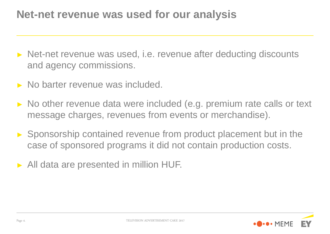#### **Net-net revenue was used for our analysis**

- ► Net-net revenue was used, i.e. revenue after deducting discounts and agency commissions.
- ► No barter revenue was included.
- ► No other revenue data were included (e.g. premium rate calls or text message charges, revenues from events or merchandise).
- ► Sponsorship contained revenue from product placement but in the case of sponsored programs it did not contain production costs.
- ► All data are presented in million HUF.

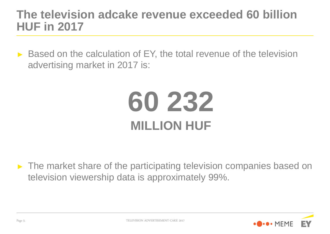#### **The television adcake revenue exceeded 60 billion HUF in 2017**

► Based on the calculation of EY, the total revenue of the television advertising market in 2017 is:

## **60 232 MILLION HUF**

► The market share of the participating television companies based on television viewership data is approximately 99%.

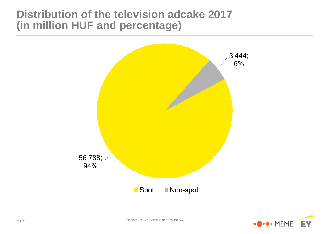#### **Distribution of the television adcake 2017 (in million HUF and percentage)**



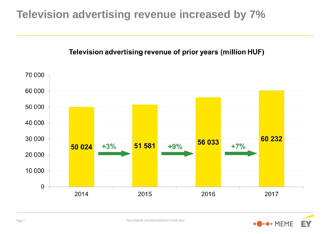#### **Television advertising revenue increased by 7%**

#### Television advertising revenue of prior years (million HUF)



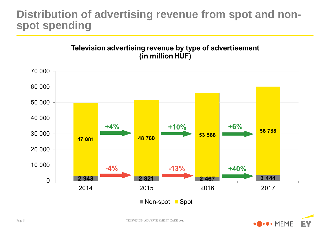#### **Distribution of advertising revenue from spot and nonspot spending**

Television advertising revenue by type of advertisement (in million HUF)



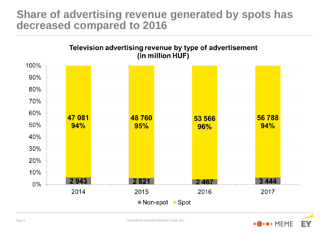#### **Share of advertising revenue generated by spots has decreased compared to 2016**



![](_page_8_Picture_2.jpeg)

![](_page_8_Picture_3.jpeg)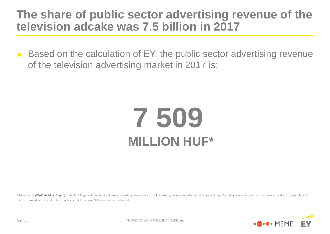#### **The share of public sector advertising revenue of the television adcake was 7.5 billion in 2017**

► Based on the calculation of EY, the public sector advertising revenue of the television advertising market in 2017 is:

## **7 509 MILLION HUF\***

\* Based on the 5/2017 decision (6 April) of the MEME general meeting: Public sector advertising revenue refers to all advertising revenue from the central budget and any advertising income derived from a business or market the state ownership - either directly or indirectly - holds at least 50% ownership or voting rights.

![](_page_9_Picture_4.jpeg)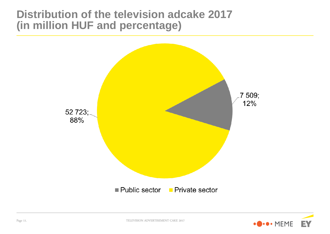#### **Distribution of the television adcake 2017 (in million HUF and percentage)**

![](_page_10_Figure_1.jpeg)

![](_page_10_Picture_2.jpeg)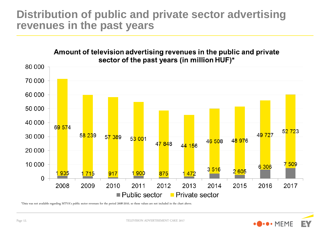#### **Distribution of public and private sector advertising revenues in the past years**

![](_page_11_Figure_1.jpeg)

**D** . MEME

EV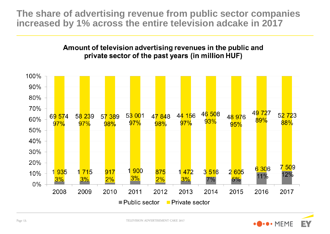**The share of advertising revenue from public sector companies increased by 1% across the entire television adcake in 2017**

#### Amount of television advertising revenues in the public and private sector of the past years (in million HUF)

![](_page_12_Figure_2.jpeg)

![](_page_12_Picture_3.jpeg)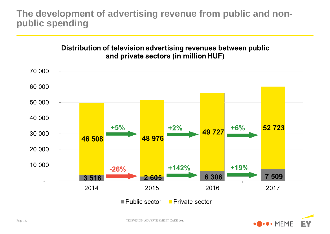#### **The development of advertising revenue from public and nonpublic spending**

![](_page_13_Figure_1.jpeg)

![](_page_13_Figure_2.jpeg)

![](_page_13_Picture_3.jpeg)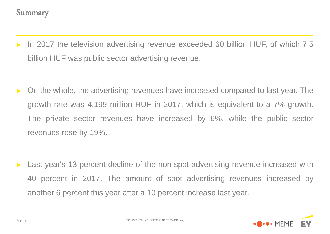- In 2017 the television advertising revenue exceeded 60 billion HUF, of which 7.5 billion HUF was public sector advertising revenue.
- ► On the whole, the advertising revenues have increased compared to last year. The growth rate was 4.199 million HUF in 2017, which is equivalent to a 7% growth. The private sector revenues have increased by 6%, while the public sector revenues rose by 19%.

Last year's 13 percent decline of the non-spot advertising revenue increased with 40 percent in 2017. The amount of spot advertising revenues increased by another 6 percent this year after a 10 percent increase last year.

![](_page_14_Picture_4.jpeg)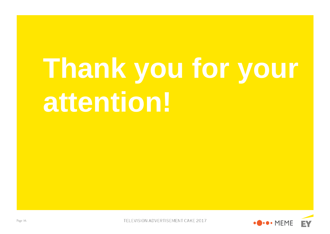# **Thank you for your attention!**

![](_page_15_Picture_1.jpeg)